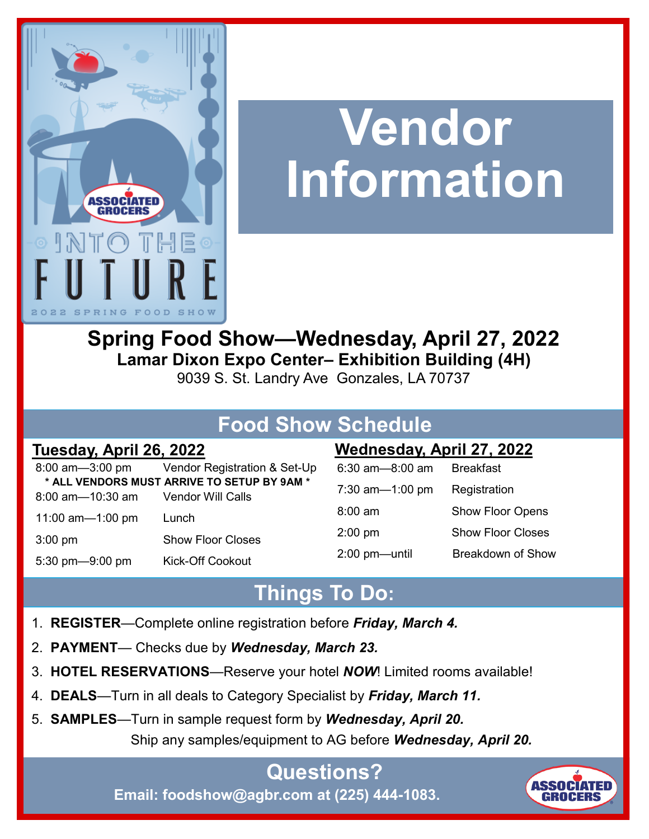

# **Vendor Information**

**Spring Food Show—Wednesday, April 27, 2022 Lamar Dixon Expo Center– Exhibition Building (4H)**

9039 S. St. Landry Ave Gonzales, LA 70737

# **Food Show Schedule**

|                                    | 8:00 am-3:00 pm Vendor Registration & Set-Up |
|------------------------------------|----------------------------------------------|
|                                    | * ALL VENDORS MUST ARRIVE TO SETUP BY 9AM *  |
| 8:00 am-10:30 am Vendor Will Calls |                                              |
| 11:00 $am=1:00$ pm                 | Lunch                                        |
| $3:00$ pm                          | <b>Show Floor Closes</b>                     |
| 5:30 pm-9:00 pm                    | <b>Kick-Off Cookout</b>                      |

#### **Tuesday, April 26, 2022 Wednesday, April 27, 2022**

| $6:30$ am $-8:00$ am | <b>Breakfast</b>         |  |
|----------------------|--------------------------|--|
| 7:30 am- $-1:00$ pm  | Registration             |  |
| $8:00 \text{ am}$    | <b>Show Floor Opens</b>  |  |
| $2:00$ pm            | <b>Show Floor Closes</b> |  |
| $2:00$ pm-until      | Breakdown of Show        |  |

# **Things To Do:**

- 1. **REGISTER**—Complete online registration before *Friday, March 4.*
- 2. **PAYMENT***—* Checks due by *Wednesday, March 23.*
- 3. **HOTEL RESERVATIONS**—Reserve your hotel *NOW*! Limited rooms available!
- 4. **DEALS**—Turn in all deals to Category Specialist by *Friday, March 11.*
- 5. **SAMPLES**—Turn in sample request form by *Wednesday, April 20.* Ship any samples/equipment to AG before *Wednesday, April 20.*

#### **Questions? Email: foodshow@agbr.com at (225) 444-1083.**

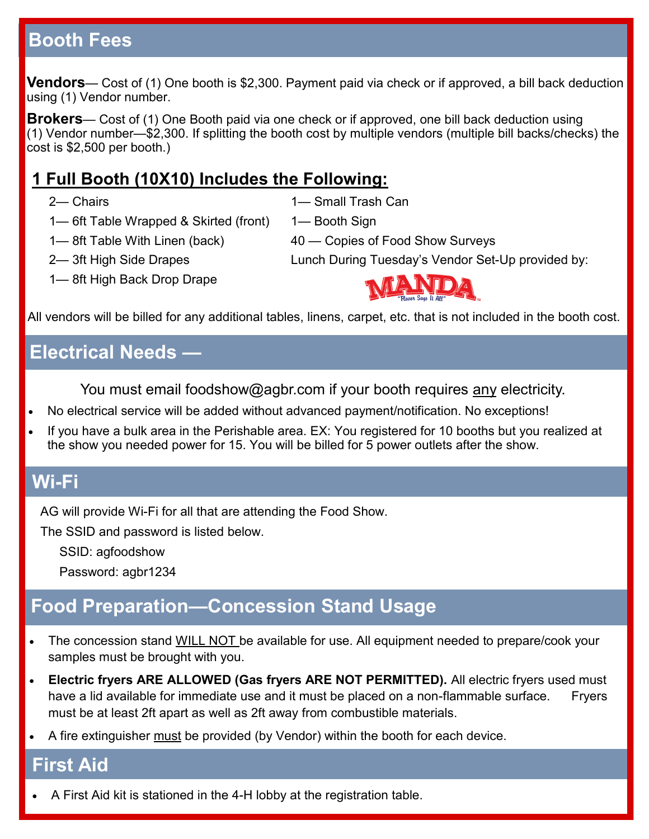## **Booth Fees**

**Vendors**— Cost of (1) One booth is \$2,300. Payment paid via check or if approved, a bill back deduction using (1) Vendor number.

**Brokers**— Cost of (1) One Booth paid via one check or if approved, one bill back deduction using  $(1)$  Vendor number—\$2,300. If splitting the booth cost by multiple vendors (multiple bill backs/checks) the cost is \$2,500 per booth.)

#### **1 Full Booth (10X10) Includes the Following:**

2— Chairs

1— Small Trash Can

1— Booth Sign

- 1— 6ft Table Wrapped & Skirted (front)
- 1— 8ft Table With Linen (back)
- Lunch During Tuesday's Vendor Set-Up provided by:
- 2— 3ft High Side Drapes
- 1— 8ft High Back Drop Drape



40 — Copies of Food Show Surveys

All vendors will be billed for any additional tables, linens, carpet, etc. that is not included in the booth cost.

#### **Electrical Needs —**

You must email foodshow@agbr.com if your booth requires any electricity.

- No electrical service will be added without advanced payment/notification. No exceptions!
- If you have a bulk area in the Perishable area. EX: You registered for 10 booths but you realized at the show you needed power for 15. You will be billed for 5 power outlets after the show.

#### **Wi-Fi**

AG will provide Wi-Fi for all that are attending the Food Show.

The SSID and password is listed below.

SSID: agfoodshow

Password: agbr1234

# **Food Preparation—Concession Stand Usage**

- The concession stand WILL NOT be available for use. All equipment needed to prepare/cook your samples must be brought with you.
- **Electric fryers ARE ALLOWED (Gas fryers ARE NOT PERMITTED).** All electric fryers used must have a lid available for immediate use and it must be placed on a non-flammable surface. Fryers must be at least 2ft apart as well as 2ft away from combustible materials.
- A fire extinguisher must be provided (by Vendor) within the booth for each device.

#### **First Aid**

• A First Aid kit is stationed in the 4-H lobby at the registration table.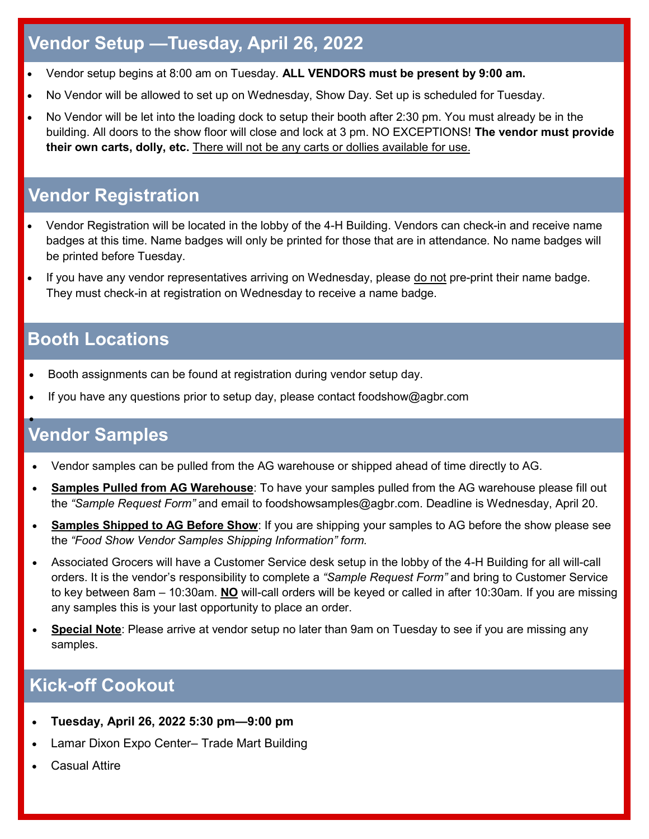## **Vendor Setup —Tuesday, April 26, 2022**

- Vendor setup begins at 8:00 am on Tuesday. **ALL VENDORS must be present by 9:00 am.**
- No Vendor will be allowed to set up on Wednesday, Show Day. Set up is scheduled for Tuesday.
- No Vendor will be let into the loading dock to setup their booth after 2:30 pm. You must already be in the building. All doors to the show floor will close and lock at 3 pm. NO EXCEPTIONS! **The vendor must provide their own carts, dolly, etc.** There will not be any carts or dollies available for use.

#### **Vendor Registration**

- Vendor Registration will be located in the lobby of the 4-H Building. Vendors can check-in and receive name badges at this time. Name badges will only be printed for those that are in attendance. No name badges will be printed before Tuesday.
- If you have any vendor representatives arriving on Wednesday, please do not pre-print their name badge. They must check-in at registration on Wednesday to receive a name badge.

#### **Booth Locations**

- Booth assignments can be found at registration during vendor setup day.
- If you have any questions prior to setup day, please contact foodshow@agbr.com

#### **Vendor Samples** •

- Vendor samples can be pulled from the AG warehouse or shipped ahead of time directly to AG.
- **Samples Pulled from AG Warehouse**: To have your samples pulled from the AG warehouse please fill out the *"Sample Request Form"* and email to foodshowsamples@agbr.com. Deadline is Wednesday, April 20.
- **Samples Shipped to AG Before Show**: If you are shipping your samples to AG before the show please see the *"Food Show Vendor Samples Shipping Information" form.*
- Associated Grocers will have a Customer Service desk setup in the lobby of the 4-H Building for all will-call orders. It is the vendor's responsibility to complete a *"Sample Request Form"* and bring to Customer Service to key between 8am – 10:30am. **NO** will-call orders will be keyed or called in after 10:30am. If you are missing any samples this is your last opportunity to place an order.
- **Special Note**: Please arrive at vendor setup no later than 9am on Tuesday to see if you are missing any samples.

#### **Kick-off Cookout**

- **Tuesday, April 26, 2022 5:30 pm—9:00 pm**
- Lamar Dixon Expo Center– Trade Mart Building
- **Casual Attire**